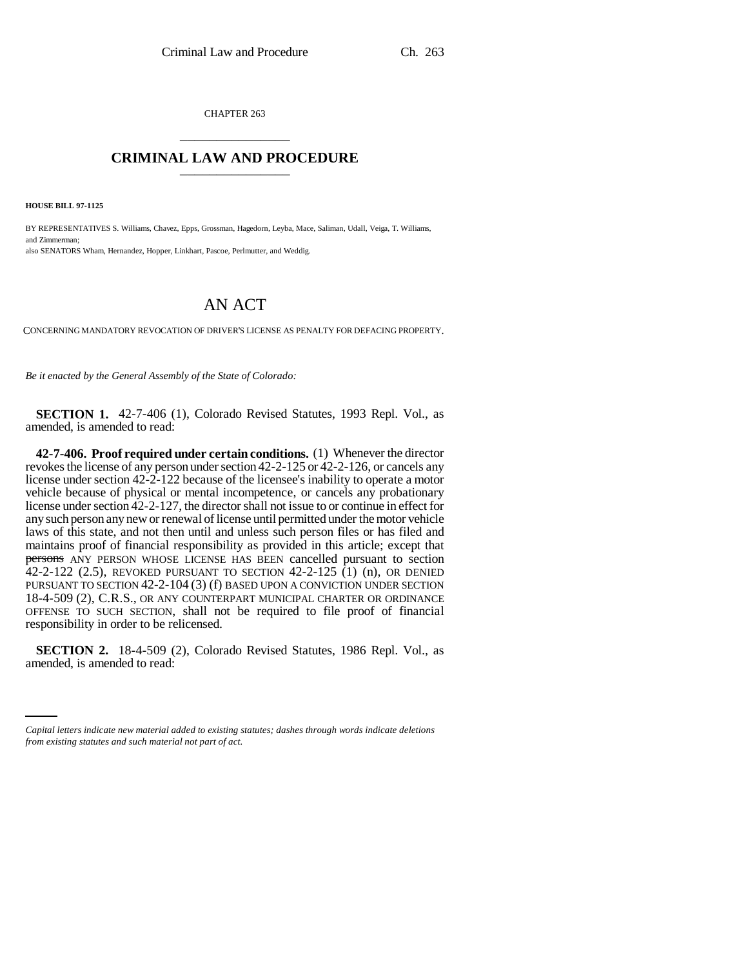CHAPTER 263 \_\_\_\_\_\_\_\_\_\_\_\_\_\_\_

## **CRIMINAL LAW AND PROCEDURE** \_\_\_\_\_\_\_\_\_\_\_\_\_\_\_

**HOUSE BILL 97-1125**

BY REPRESENTATIVES S. Williams, Chavez, Epps, Grossman, Hagedorn, Leyba, Mace, Saliman, Udall, Veiga, T. Williams, and Zimmerman; also SENATORS Wham, Hernandez, Hopper, Linkhart, Pascoe, Perlmutter, and Weddig.

## AN ACT

CONCERNING MANDATORY REVOCATION OF DRIVER'S LICENSE AS PENALTY FOR DEFACING PROPERTY.

*Be it enacted by the General Assembly of the State of Colorado:*

**SECTION 1.** 42-7-406 (1), Colorado Revised Statutes, 1993 Repl. Vol., as amended, is amended to read:

**42-7-406. Proof required under certain conditions.** (1) Whenever the director revokes the license of any person under section 42-2-125 or 42-2-126, or cancels any license under section 42-2-122 because of the licensee's inability to operate a motor vehicle because of physical or mental incompetence, or cancels any probationary license under section 42-2-127, the director shall not issue to or continue in effect for any such person any new or renewal of license until permitted under the motor vehicle laws of this state, and not then until and unless such person files or has filed and maintains proof of financial responsibility as provided in this article; except that persons ANY PERSON WHOSE LICENSE HAS BEEN cancelled pursuant to section  $42-2-122$  (2.5), REVOKED PURSUANT TO SECTION  $42-2-125$  (1) (n), OR DENIED PURSUANT TO SECTION 42-2-104 (3) (f) BASED UPON A CONVICTION UNDER SECTION 18-4-509 (2), C.R.S., OR ANY COUNTERPART MUNICIPAL CHARTER OR ORDINANCE OFFENSE TO SUCH SECTION, shall not be required to file proof of financial responsibility in order to be relicensed.

 **SECTION 2.** 18-4-509 (2), Colorado Revised Statutes, 1986 Repl. Vol., as amended, is amended to read:

*Capital letters indicate new material added to existing statutes; dashes through words indicate deletions from existing statutes and such material not part of act.*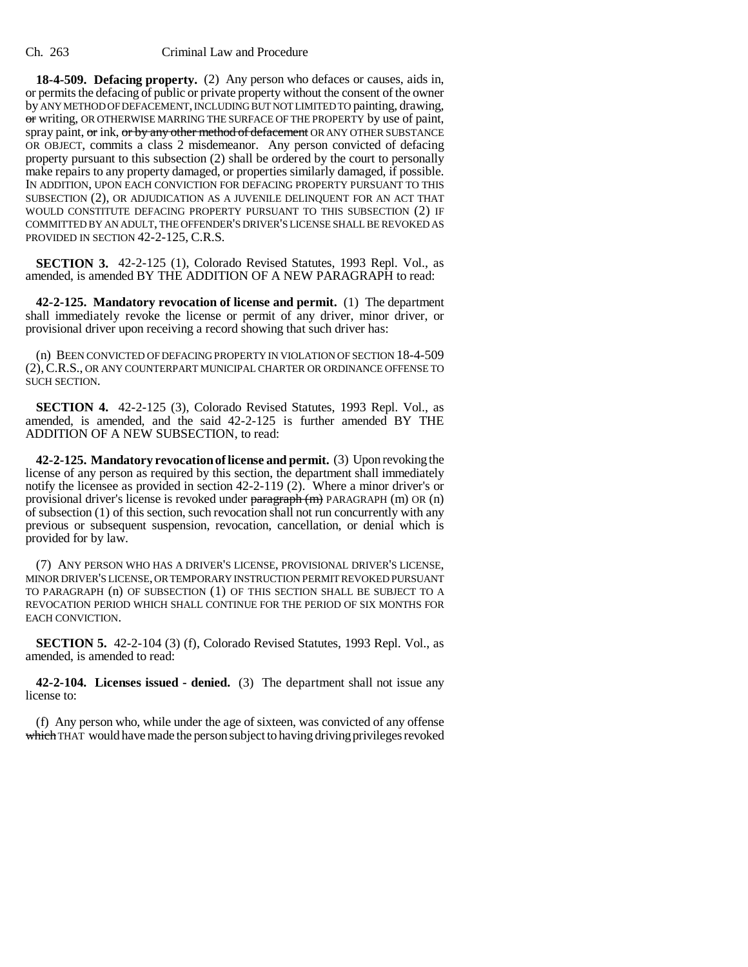**18-4-509. Defacing property.** (2) Any person who defaces or causes, aids in, or permits the defacing of public or private property without the consent of the owner by ANY METHOD OF DEFACEMENT, INCLUDING BUT NOT LIMITED TO painting, drawing, or writing, OR OTHERWISE MARRING THE SURFACE OF THE PROPERTY by use of paint, spray paint, or ink, or by any other method of defacement OR ANY OTHER SUBSTANCE OR OBJECT, commits a class 2 misdemeanor. Any person convicted of defacing property pursuant to this subsection (2) shall be ordered by the court to personally make repairs to any property damaged, or properties similarly damaged, if possible. IN ADDITION, UPON EACH CONVICTION FOR DEFACING PROPERTY PURSUANT TO THIS SUBSECTION (2), OR ADJUDICATION AS A JUVENILE DELINQUENT FOR AN ACT THAT WOULD CONSTITUTE DEFACING PROPERTY PURSUANT TO THIS SUBSECTION (2) IF COMMITTED BY AN ADULT, THE OFFENDER'S DRIVER'S LICENSE SHALL BE REVOKED AS PROVIDED IN SECTION 42-2-125, C.R.S.

**SECTION 3.** 42-2-125 (1), Colorado Revised Statutes, 1993 Repl. Vol., as amended, is amended BY THE ADDITION OF A NEW PARAGRAPH to read:

**42-2-125. Mandatory revocation of license and permit.** (1) The department shall immediately revoke the license or permit of any driver, minor driver, or provisional driver upon receiving a record showing that such driver has:

(n) BEEN CONVICTED OF DEFACING PROPERTY IN VIOLATION OF SECTION 18-4-509 (2),C.R.S., OR ANY COUNTERPART MUNICIPAL CHARTER OR ORDINANCE OFFENSE TO SUCH SECTION.

**SECTION 4.** 42-2-125 (3), Colorado Revised Statutes, 1993 Repl. Vol., as amended, is amended, and the said 42-2-125 is further amended BY THE ADDITION OF A NEW SUBSECTION, to read:

**42-2-125. Mandatory revocation of license and permit.** (3) Upon revoking the license of any person as required by this section, the department shall immediately notify the licensee as provided in section 42-2-119 (2). Where a minor driver's or provisional driver's license is revoked under paragraph (m) PARAGRAPH (m) OR (n) of subsection (1) of this section, such revocation shall not run concurrently with any previous or subsequent suspension, revocation, cancellation, or denial which is provided for by law.

(7) ANY PERSON WHO HAS A DRIVER'S LICENSE, PROVISIONAL DRIVER'S LICENSE, MINOR DRIVER'S LICENSE, OR TEMPORARY INSTRUCTION PERMIT REVOKED PURSUANT TO PARAGRAPH (n) OF SUBSECTION (1) OF THIS SECTION SHALL BE SUBJECT TO A REVOCATION PERIOD WHICH SHALL CONTINUE FOR THE PERIOD OF SIX MONTHS FOR EACH CONVICTION.

**SECTION 5.** 42-2-104 (3) (f), Colorado Revised Statutes, 1993 Repl. Vol., as amended, is amended to read:

**42-2-104. Licenses issued - denied.** (3) The department shall not issue any license to:

(f) Any person who, while under the age of sixteen, was convicted of any offense which THAT would have made the person subject to having driving privileges revoked